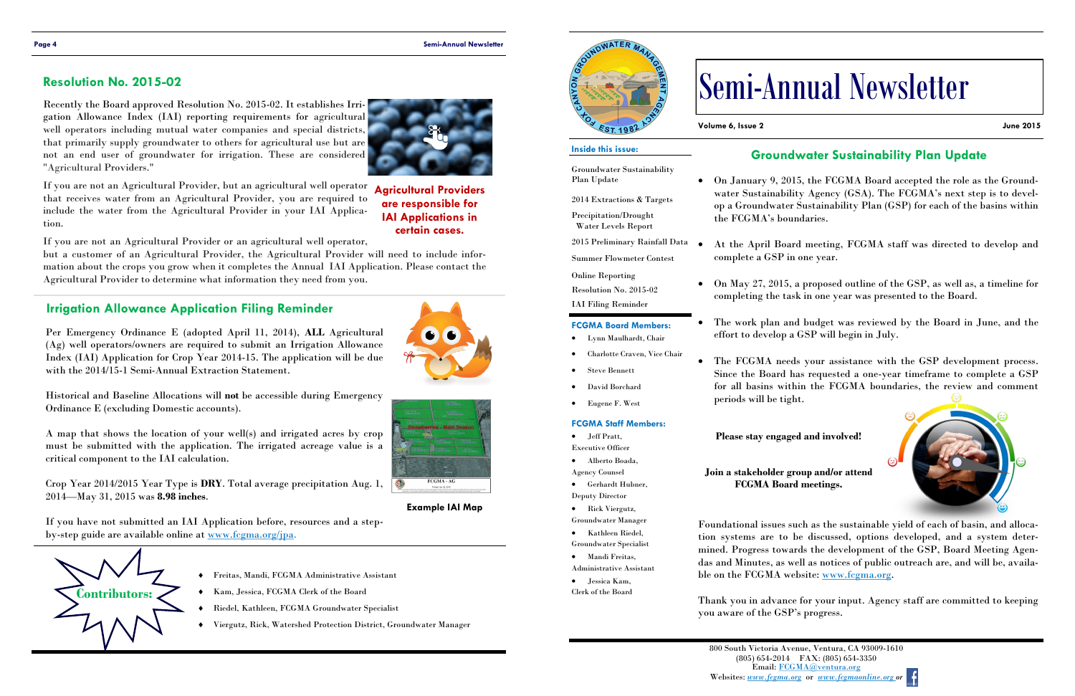

- Freitas, Mandi, FCGMA Administrative Assistant
- Kam, Jessica, FCGMA Clerk of the Board
- Riedel, Kathleen, FCGMA Groundwater Specialist
- Viergutz, Rick, Watershed Protection District, Groundwater Manager



## **Irrigation Allowance Application Filing Reminder**

Per Emergency Ordinance E (adopted April 11, 2014), **ALL** Agricultural (Ag) well operators/owners are required to submit an Irrigation Allowance Index (IAI) Application for Crop Year 2014-15. The application will be due with the 2014/15-1 Semi-Annual Extraction Statement.

If you have not submitted an IAI Application before, resources and a stepby-step guide are available online at www.fcgma.org/jpa.

Historical and Baseline Allocations will **not** be accessible during Emergency Ordinance E (excluding Domestic accounts).

A map that shows the location of your well(s) and irrigated acres by crop must be submitted with the application. The irrigated acreage value is a critical component to the IAI calculation.

Crop Year 2014/2015 Year Type is **DRY**. Total average precipitation Aug. 1, 2014—May 31, 2015 was **8.98 inches**.

**Example IAI Map**

Recently the Board approved Resolution No. 2015-02. It establishes Irrigation Allowance Index (IAI) reporting requirements for agricultural well operators including mutual water companies and special districts, that primarily supply groundwater to others for agricultural use but are not an end user of groundwater for irrigation. These are considered "Agricultural Providers."

If you are not an Agricultural Provider or an agricultural well operator,

If you are not an Agricultural Provider, but an agricultural well operator that receives water from an Agricultural Provider, you are required to include the water from the Agricultural Provider in your IAI Application. **Agricultural Providers** 

but a customer of an Agricultural Provider, the Agricultural Provider will need to include information about the crops you grow when it completes the Annual IAI Application. Please contact the Agricultural Provider to determine what information they need from you.

> Foundational issues such as the sustainable yield of each of basin, and allocation systems are to be discussed, options developed, and a system determined. Progress towards the development of the GSP, Board Meeting Agendas and Minutes, as well as notices of public outreach are, and will be, available on the FCGMA website: www.fcgma.org.

# **Resolution No. 2015-02**

**are responsible for IAI Applications in certain cases.**

**Volume 6, Issue 2 June 2015**

# Semi-Annual Newsletter

### **FCGMA Board Members:**

- Lynn Maulhardt, Chair
- Charlotte Craven, Vice Chair
- Steve Bennett
- David Borchard
- Eugene F. West

#### **Inside this issue:**

Groundwater Sustainability Plan Update

2014 Extractions & Targets

Precipitation/Drought Water Levels Report

2015 Preliminary Rainfall Data

Summer Flowmeter Contest Online Reporting

Resolution No. 2015-02

IAI Filing Reminder

#### **FCGMA Staff Members:**

- Jeff Pratt,
- Executive Officer Alberto Boada,
- Agency Counsel
- Gerhardt Hubner, Deputy Director
- Rick Viergutz,
- Groundwater Manager
- Kathleen Riedel, Groundwater Specialist
- Mandi Freitas, Administrative Assistant
- Jessica Kam,
- Clerk of the Board



# **Groundwater Sustainability Plan Update**

 On January 9, 2015, the FCGMA Board accepted the role as the Groundwater Sustainability Agency (GSA). The FCGMA's next step is to develop a Groundwater Sustainability Plan (GSP) for each of the basins within the FCGMA's boundaries.

 At the April Board meeting, FCGMA staff was directed to develop and complete a GSP in one year.

 On May 27, 2015, a proposed outline of the GSP, as well as, a timeline for completing the task in one year was presented to the Board.

 The work plan and budget was reviewed by the Board in June, and the effort to develop a GSP will begin in July.

 The FCGMA needs your assistance with the GSP development process. Since the Board has requested a one-year timeframe to complete a GSP for all basins within the FCGMA boundaries, the review and comment periods will be tight.

Thank you in advance for your input. Agency staff are committed to keeping you aware of the GSP's progress.





**Please stay engaged and involved!**



**Join a stakeholder group and/or attend FCGMA Board meetings.**